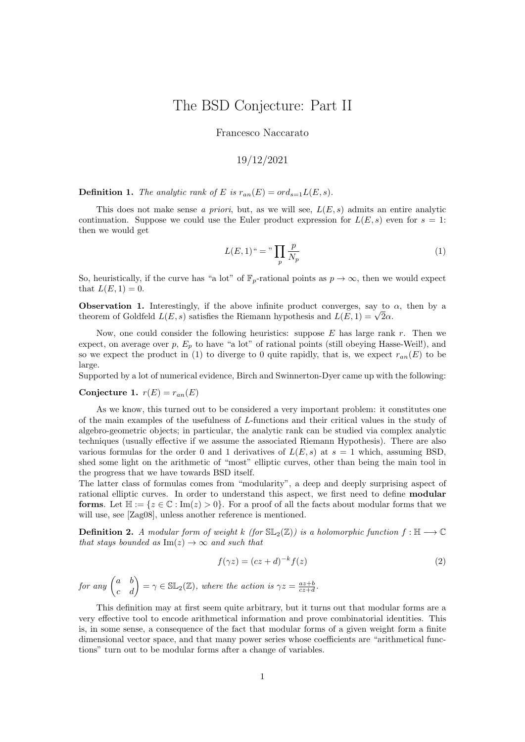## The BSD Conjecture: Part II

Francesco Naccarato

## 19/12/2021

**Definition 1.** The analytic rank of E is  $r_{an}(E) = ord_{s=1}L(E, s)$ .

This does not make sense a priori, but, as we will see,  $L(E, s)$  admits an entire analytic continuation. Suppose we could use the Euler product expression for  $L(E, s)$  even for  $s = 1$ : then we would get

$$
L(E,1)^{u} = \sqrt[n]{\prod_{p} \frac{p}{N_p}}
$$
 (1)

So, heuristically, if the curve has "a lot" of  $\mathbb{F}_p$ -rational points as  $p \to \infty$ , then we would expect that  $L(E, 1) = 0$ .

**Observation 1.** Interestingly, if the above infinite product converges, say to  $\alpha$ , then by a **Observation 1.** Interestingly, if the above infinite product converges, say to theorem of Goldfeld  $L(E, s)$  satisfies the Riemann hypothesis and  $L(E, 1) = \sqrt{2}\alpha$ .

Now, one could consider the following heuristics: suppose  $E$  has large rank  $r$ . Then we expect, on average over  $p, E_p$  to have "a lot" of rational points (still obeying Hasse-Weil!), and so we expect the product in (1) to diverge to 0 quite rapidly, that is, we expect  $r_{an}(E)$  to be large.

Supported by a lot of numerical evidence, Birch and Swinnerton-Dyer came up with the following:

Conjecture 1.  $r(E) = r_{an}(E)$ 

As we know, this turned out to be considered a very important problem: it constitutes one of the main examples of the usefulness of L-functions and their critical values in the study of algebro-geometric objects; in particular, the analytic rank can be studied via complex analytic techniques (usually effective if we assume the associated Riemann Hypothesis). There are also various formulas for the order 0 and 1 derivatives of  $L(E, s)$  at  $s = 1$  which, assuming BSD, shed some light on the arithmetic of "most" elliptic curves, other than being the main tool in the progress that we have towards BSD itself.

The latter class of formulas comes from "modularity", a deep and deeply surprising aspect of rational elliptic curves. In order to understand this aspect, we first need to define modular **forms**. Let  $\mathbb{H} := \{z \in \mathbb{C} : \text{Im}(z) > 0\}$ . For a proof of all the facts about modular forms that we will use, see [Zag08], unless another reference is mentioned.

**Definition 2.** A modular form of weight k (for  $SL_2(\mathbb{Z})$ ) is a holomorphic function  $f : \mathbb{H} \longrightarrow \mathbb{C}$ that stays bounded as  $\text{Im}(z) \to \infty$  and such that

$$
f(\gamma z) = (cz + d)^{-k} f(z) \tag{2}
$$

for any  $\begin{pmatrix} a & b \\ c & d \end{pmatrix} = \gamma \in \mathbb{SL}_2(\mathbb{Z})$ , where the action is  $\gamma z = \frac{az+b}{cz+d}$ .

This definition may at first seem quite arbitrary, but it turns out that modular forms are a very effective tool to encode arithmetical information and prove combinatorial identities. This is, in some sense, a consequence of the fact that modular forms of a given weight form a finite dimensional vector space, and that many power series whose coefficients are "arithmetical functions" turn out to be modular forms after a change of variables.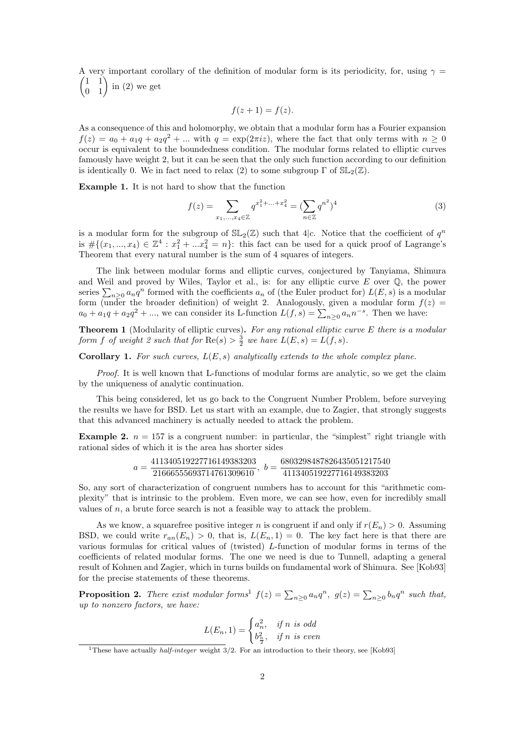A very important corollary of the definition of modular form is its periodicity, for, using  $\gamma =$  $\begin{pmatrix} 1 & 1 \\ 0 & 1 \end{pmatrix}$  in (2) we get

$$
f(z+1) = f(z).
$$

As a consequence of this and holomorphy, we obtain that a modular form has a Fourier expansion  $f(z) = a_0 + a_1q + a_2q^2 + ...$  with  $q = \exp(2\pi i z)$ , where the fact that only terms with  $n \geq 0$ occur is equivalent to the boundedness condition. The modular forms related to elliptic curves famously have weight 2, but it can be seen that the only such function according to our definition is identically 0. We in fact need to relax (2) to some subgroup  $\Gamma$  of  $SL_2(\mathbb{Z})$ .

Example 1. It is not hard to show that the function

$$
f(z) = \sum_{x_1, \dots, x_4 \in \mathbb{Z}} q^{x_1^2 + \dots + x_4^2} = (\sum_{n \in \mathbb{Z}} q^{n^2})^4
$$
 (3)

is a modular form for the subgroup of  $SL_2(\mathbb{Z})$  such that 4|c. Notice that the coefficient of  $q^n$ is  $\#\{(x_1, ..., x_4) \in \mathbb{Z}^4 : x_1^2 + ... x_4^2 = n\}$ : this fact can be used for a quick proof of Lagrange's Theorem that every natural number is the sum of 4 squares of integers.

The link between modular forms and elliptic curves, conjectured by Tanyiama, Shimura and Weil and proved by Wiles, Taylor et al., is: for any elliptic curve  $E$  over  $\mathbb{Q}$ , the power series  $\sum_{n\geq 0} a_n q^n$  formed with the coefficients  $a_n$  of (the Euler product for)  $L(E, s)$  is a modular form (under the broader definition) of weight 2. Analogously, given a modular form  $f(z)$  $a_0 + a_1q + a_2q^2 + \dots$ , we can consider its L-function  $L(f, s) = \sum_{n \geq 0} a_n n^{-s}$ . Then we have:

Theorem 1 (Modularity of elliptic curves). For any rational elliptic curve E there is a modular form f of weight 2 such that for  $\text{Re}(s) > \frac{3}{2}$  we have  $L(E, s) = L(f, s)$ .

**Corollary 1.** For such curves,  $L(E, s)$  analytically extends to the whole complex plane.

Proof. It is well known that L-functions of modular forms are analytic, so we get the claim by the uniqueness of analytic continuation.

This being considered, let us go back to the Congruent Number Problem, before surveying the results we have for BSD. Let us start with an example, due to Zagier, that strongly suggests that this advanced machinery is actually needed to attack the problem.

**Example 2.**  $n = 157$  is a congruent number: in particular, the "simplest" right triangle with rational sides of which it is the area has shorter sides

$$
a=\frac{411340519227716149383203}{21666555693714761309610},\; b=\frac{6803298487826435051217540}{411340519227716149383203}
$$

So, any sort of characterization of congruent numbers has to account for this "arithmetic complexity" that is intrinsic to the problem. Even more, we can see how, even for incredibly small values of  $n$ , a brute force search is not a feasible way to attack the problem.

As we know, a squarefree positive integer n is congruent if and only if  $r(E_n) > 0$ . Assuming BSD, we could write  $r_{an}(E_n) > 0$ , that is,  $L(E_n, 1) = 0$ . The key fact here is that there are various formulas for critical values of (twisted) L-function of modular forms in terms of the coefficients of related modular forms. The one we need is due to Tunnell, adapting a general result of Kohnen and Zagier, which in turns builds on fundamental work of Shimura. See [Kob93] for the precise statements of these theorems.

**Proposition 2.** There exist modular forms<sup>1</sup>  $f(z) = \sum_{n\geq 0} a_n q^n$ ,  $g(z) = \sum_{n\geq 0} b_n q^n$  such that, up to nonzero factors, we have:

$$
L(E_n, 1) = \begin{cases} a_n^2, & \text{if } n \text{ is odd} \\ b_{\frac{n}{2}}^2, & \text{if } n \text{ is even} \end{cases}
$$

<sup>&</sup>lt;sup>1</sup>These have actually *half-integer* weight  $3/2$ . For an introduction to their theory, see [Kob93]